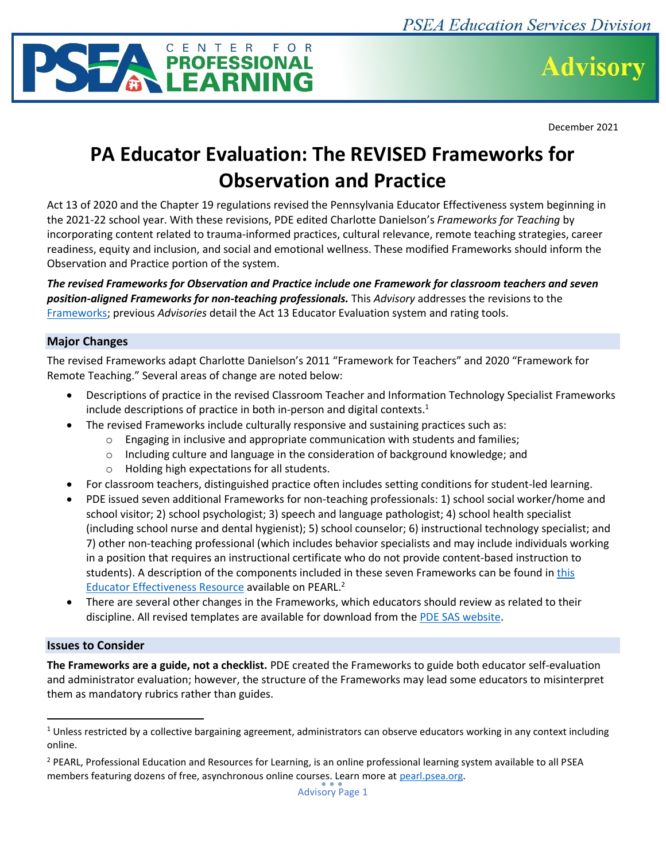



December 2021

# **PA Educator Evaluation: The REVISED Frameworks for Observation and Practice**

Act 13 of 2020 and the Chapter 19 regulations revised the Pennsylvania Educator Effectiveness system beginning in the 2021-22 school year. With these revisions, PDE edited Charlotte Danielson's *Frameworks for Teaching* by incorporating content related to trauma-informed practices, cultural relevance, remote teaching strategies, career readiness, equity and inclusion, and social and emotional wellness. These modified Frameworks should inform the Observation and Practice portion of the system.

*The revised Frameworks for Observation and Practice include one Framework for classroom teachers and seven position-aligned Frameworks for non-teaching professionals.* This *Advisory* addresses the revisions to the [Frameworks;](https://www.pdesas.org/EducatorFrameworks/EducatorEffectiveness/) previous *Advisories* detail the Act 13 Educator Evaluation system and rating tools.

## **Major Changes**

The revised Frameworks adapt Charlotte Danielson's 2011 "Framework for Teachers" and 2020 "Framework for Remote Teaching." Several areas of change are noted below:

- Descriptions of practice in the revised Classroom Teacher and Information Technology Specialist Frameworks include descriptions of practice in both in-person and digital contexts.<sup>1</sup>
- The revised Frameworks include culturally responsive and sustaining practices such as:
	- $\circ$  Engaging in inclusive and appropriate communication with students and families;
	- $\circ$  Including culture and language in the consideration of background knowledge; and
	- o Holding high expectations for all students.
- For classroom teachers, distinguished practice often includes setting conditions for student-led learning.
- PDE issued seven additional Frameworks for non-teaching professionals: 1) school social worker/home and school visitor; 2) school psychologist; 3) speech and language pathologist; 4) school health specialist (including school nurse and dental hygienist); 5) school counselor; 6) instructional technology specialist; and 7) other non-teaching professional (which includes behavior specialists and may include individuals working in a position that requires an instructional certificate who do not provide content-based instruction to students). A description of the components included in these seven Frameworks can be found in [this](https://pearl.psea.org/resources/11)  [Educator Effectiveness Resource](https://pearl.psea.org/resources/11) available on PEARL.<sup>2</sup>
- There are several other changes in the Frameworks, which educators should review as related to their discipline. All revised templates are available for download from the [PDE SAS website.](https://www.pdesas.org/EducatorFrameworks/EducatorEffectiveness/)

## **Issues to Consider**

**The Frameworks are a guide, not a checklist.** PDE created the Frameworks to guide both educator self-evaluation and administrator evaluation; however, the structure of the Frameworks may lead some educators to misinterpret them as mandatory rubrics rather than guides.

 $1$  Unless restricted by a collective bargaining agreement, administrators can observe educators working in any context including online.

<sup>&</sup>lt;sup>2</sup> PEARL, Professional Education and Resources for Learning, is an online professional learning system available to all PSEA members featuring dozens of free, asynchronous online courses. Learn more at [pearl.psea.org.](file:///C:/Users/ClaycoCL/AppData/Local/Microsoft/Windows/INetCache/Content.Outlook/2ZGBA94O/pearl.psea.org/)